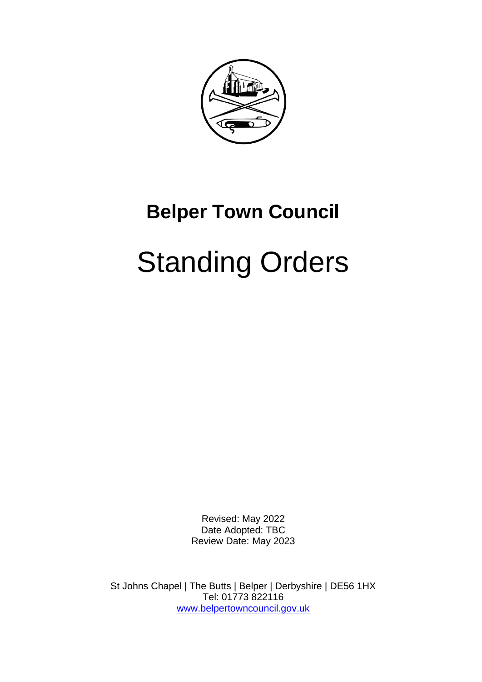

Revised: May 2022 Date Adopted: TBC Review Date: May 2023

St Johns Chapel | The Butts | Belper | Derbyshire | DE56 1HX Tel: 01773 822116 [www.belpertowncouncil.gov.uk](http://www.belpertowncouncil.gov.uk/)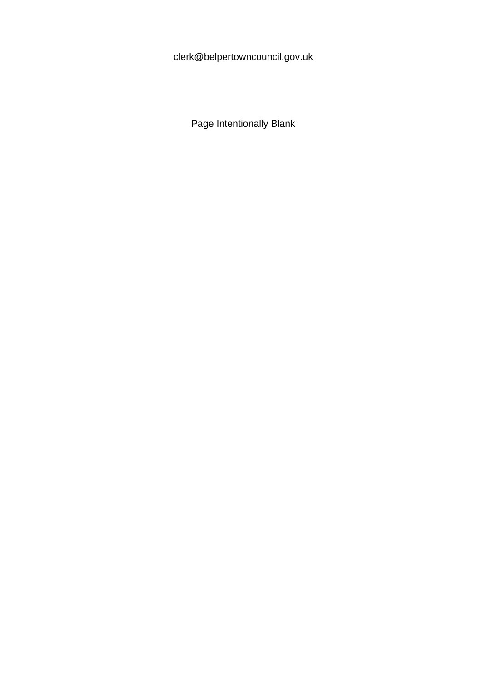clerk@belpertowncouncil.gov.uk

Page Intentionally Blank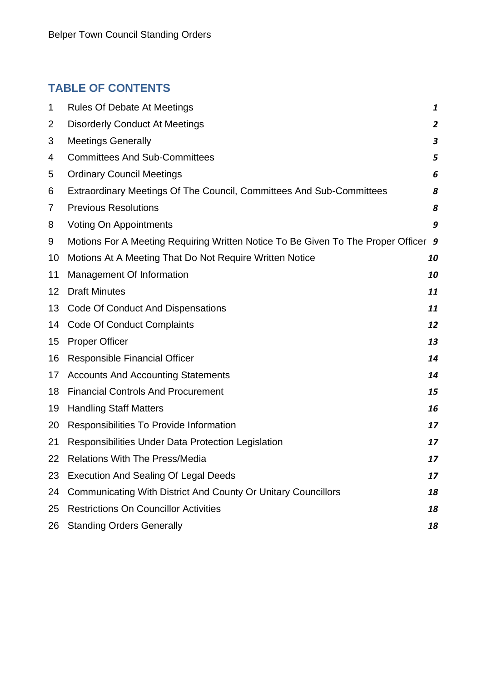# **TABLE OF CONTENTS**

| 1  | <b>Rules Of Debate At Meetings</b>                                                 | 1                |
|----|------------------------------------------------------------------------------------|------------------|
| 2  | <b>Disorderly Conduct At Meetings</b>                                              | $\overline{2}$   |
| 3  | <b>Meetings Generally</b>                                                          | $\boldsymbol{3}$ |
| 4  | <b>Committees And Sub-Committees</b>                                               | 5                |
| 5  | <b>Ordinary Council Meetings</b>                                                   | 6                |
| 6  | Extraordinary Meetings Of The Council, Committees And Sub-Committees               | 8                |
| 7  | <b>Previous Resolutions</b>                                                        | 8                |
| 8  | Voting On Appointments                                                             | 9                |
| 9  | Motions For A Meeting Requiring Written Notice To Be Given To The Proper Officer 9 |                  |
| 10 | Motions At A Meeting That Do Not Require Written Notice                            | 10               |
| 11 | Management Of Information                                                          | 10               |
| 12 | <b>Draft Minutes</b>                                                               | 11               |
| 13 | Code Of Conduct And Dispensations                                                  | 11               |
| 14 | <b>Code Of Conduct Complaints</b>                                                  | 12               |
| 15 | <b>Proper Officer</b>                                                              | 13               |
| 16 | Responsible Financial Officer                                                      | 14               |
| 17 | <b>Accounts And Accounting Statements</b>                                          | 14               |
| 18 | <b>Financial Controls And Procurement</b>                                          | 15               |
| 19 | <b>Handling Staff Matters</b>                                                      | 16               |
| 20 | Responsibilities To Provide Information                                            | 17               |
| 21 | Responsibilities Under Data Protection Legislation                                 | 17               |
| 22 | <b>Relations With The Press/Media</b>                                              | 17               |
| 23 | <b>Execution And Sealing Of Legal Deeds</b>                                        | 17               |
| 24 | <b>Communicating With District And County Or Unitary Councillors</b>               | 18               |
| 25 | <b>Restrictions On Councillor Activities</b>                                       | 18               |
| 26 | <b>Standing Orders Generally</b>                                                   | 18               |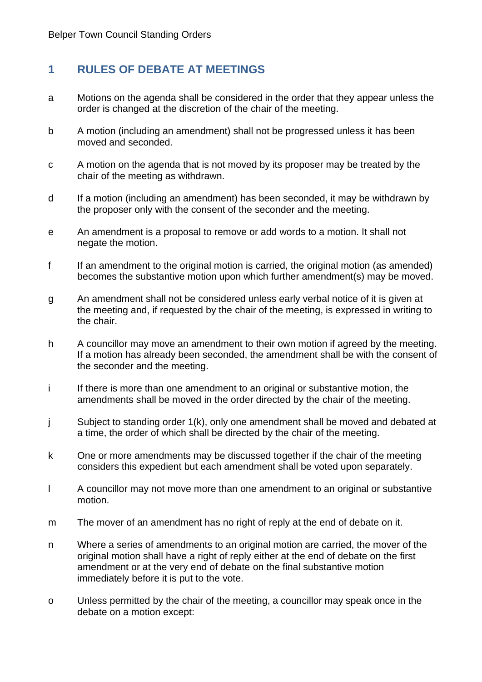# <span id="page-3-0"></span>**1 RULES OF DEBATE AT MEETINGS**

- a Motions on the agenda shall be considered in the order that they appear unless the order is changed at the discretion of the chair of the meeting.
- b A motion (including an amendment) shall not be progressed unless it has been moved and seconded.
- c A motion on the agenda that is not moved by its proposer may be treated by the chair of the meeting as withdrawn.
- d If a motion (including an amendment) has been seconded, it may be withdrawn by the proposer only with the consent of the seconder and the meeting.
- e An amendment is a proposal to remove or add words to a motion. It shall not negate the motion.
- f If an amendment to the original motion is carried, the original motion (as amended) becomes the substantive motion upon which further amendment(s) may be moved.
- g An amendment shall not be considered unless early verbal notice of it is given at the meeting and, if requested by the chair of the meeting, is expressed in writing to the chair.
- h A councillor may move an amendment to their own motion if agreed by the meeting. If a motion has already been seconded, the amendment shall be with the consent of the seconder and the meeting.
- i If there is more than one amendment to an original or substantive motion, the amendments shall be moved in the order directed by the chair of the meeting.
- j Subject to standing order 1(k), only one amendment shall be moved and debated at a time, the order of which shall be directed by the chair of the meeting.
- k One or more amendments may be discussed together if the chair of the meeting considers this expedient but each amendment shall be voted upon separately.
- l A councillor may not move more than one amendment to an original or substantive motion.
- m The mover of an amendment has no right of reply at the end of debate on it.
- n Where a series of amendments to an original motion are carried, the mover of the original motion shall have a right of reply either at the end of debate on the first amendment or at the very end of debate on the final substantive motion immediately before it is put to the vote.
- o Unless permitted by the chair of the meeting, a councillor may speak once in the debate on a motion except: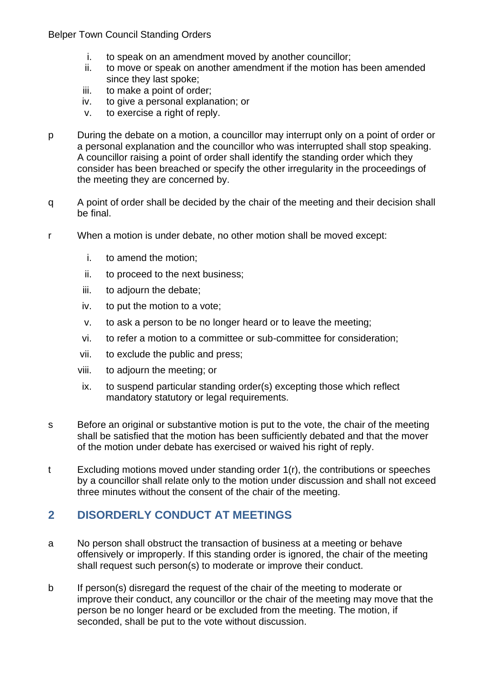- i. to speak on an amendment moved by another councillor;
- ii. to move or speak on another amendment if the motion has been amended since they last spoke;
- iii. to make a point of order;
- iv. to give a personal explanation; or
- v. to exercise a right of reply.
- p During the debate on a motion, a councillor may interrupt only on a point of order or a personal explanation and the councillor who was interrupted shall stop speaking. A councillor raising a point of order shall identify the standing order which they consider has been breached or specify the other irregularity in the proceedings of the meeting they are concerned by.
- q A point of order shall be decided by the chair of the meeting and their decision shall be final.
- r When a motion is under debate, no other motion shall be moved except:
	- i. to amend the motion;
	- ii. to proceed to the next business;
	- iii. to adjourn the debate;
	- iv. to put the motion to a vote;
	- v. to ask a person to be no longer heard or to leave the meeting;
	- vi. to refer a motion to a committee or sub-committee for consideration;
	- vii. to exclude the public and press;
	- viii. to adjourn the meeting; or
	- ix. to suspend particular standing order(s) excepting those which reflect mandatory statutory or legal requirements.
- s Before an original or substantive motion is put to the vote, the chair of the meeting shall be satisfied that the motion has been sufficiently debated and that the mover of the motion under debate has exercised or waived his right of reply.
- t Excluding motions moved under standing order 1(r), the contributions or speeches by a councillor shall relate only to the motion under discussion and shall not exceed three minutes without the consent of the chair of the meeting.

# <span id="page-4-0"></span>**2 DISORDERLY CONDUCT AT MEETINGS**

- a No person shall obstruct the transaction of business at a meeting or behave offensively or improperly. If this standing order is ignored, the chair of the meeting shall request such person(s) to moderate or improve their conduct.
- b If person(s) disregard the request of the chair of the meeting to moderate or improve their conduct, any councillor or the chair of the meeting may move that the person be no longer heard or be excluded from the meeting. The motion, if seconded, shall be put to the vote without discussion.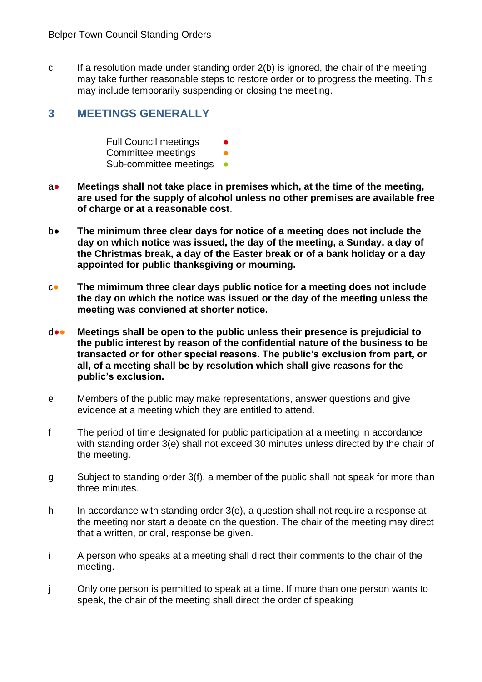c If a resolution made under standing order 2(b) is ignored, the chair of the meeting may take further reasonable steps to restore order or to progress the meeting. This may include temporarily suspending or closing the meeting.

# <span id="page-5-0"></span>**3 MEETINGS GENERALLY**

Full Council meetings Committee meetings Sub-committee meetings •

- a● **Meetings shall not take place in premises which, at the time of the meeting, are used for the supply of alcohol unless no other premises are available free of charge or at a reasonable cost**.
- b● **The minimum three clear days for notice of a meeting does not include the day on which notice was issued, the day of the meeting, a Sunday, a day of the Christmas break, a day of the Easter break or of a bank holiday or a day appointed for public thanksgiving or mourning.**
- c● **The mimimum three clear days public notice for a meeting does not include the day on which the notice was issued or the day of the meeting unless the meeting was conviened at shorter notice.**
- d●● **Meetings shall be open to the public unless their presence is prejudicial to the public interest by reason of the confidential nature of the business to be transacted or for other special reasons. The public's exclusion from part, or all, of a meeting shall be by resolution which shall give reasons for the public's exclusion.**
- e Members of the public may make representations, answer questions and give evidence at a meeting which they are entitled to attend.
- f The period of time designated for public participation at a meeting in accordance with standing order 3(e) shall not exceed 30 minutes unless directed by the chair of the meeting.
- g Subject to standing order 3(f), a member of the public shall not speak for more than three minutes.
- h In accordance with standing order  $3(e)$ , a question shall not require a response at the meeting nor start a debate on the question. The chair of the meeting may direct that a written, or oral, response be given.
- i A person who speaks at a meeting shall direct their comments to the chair of the meeting.
- j Only one person is permitted to speak at a time. If more than one person wants to speak, the chair of the meeting shall direct the order of speaking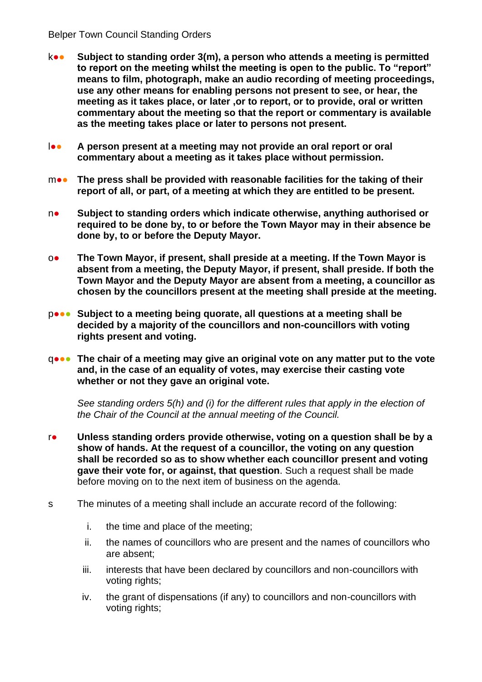- k●● **Subject to standing order 3(m), a person who attends a meeting is permitted to report on the meeting whilst the meeting is open to the public. To "report" means to film, photograph, make an audio recording of meeting proceedings, use any other means for enabling persons not present to see, or hear, the meeting as it takes place, or later ,or to report, or to provide, oral or written commentary about the meeting so that the report or commentary is available as the meeting takes place or later to persons not present.**
- l●● **A person present at a meeting may not provide an oral report or oral commentary about a meeting as it takes place without permission.**
- m●● **The press shall be provided with reasonable facilities for the taking of their report of all, or part, of a meeting at which they are entitled to be present.**
- n● **Subject to standing orders which indicate otherwise, anything authorised or required to be done by, to or before the Town Mayor may in their absence be done by, to or before the Deputy Mayor.**
- o● **The Town Mayor, if present, shall preside at a meeting. If the Town Mayor is absent from a meeting, the Deputy Mayor, if present, shall preside. If both the Town Mayor and the Deputy Mayor are absent from a meeting, a councillor as chosen by the councillors present at the meeting shall preside at the meeting.**
- p<sup>•</sup> Subject to a meeting being quorate, all questions at a meeting shall be **decided by a majority of the councillors and non-councillors with voting rights present and voting.**
- q●●● **The chair of a meeting may give an original vote on any matter put to the vote and, in the case of an equality of votes, may exercise their casting vote whether or not they gave an original vote.**

*See standing orders 5(h) and (i) for the different rules that apply in the election of the Chair of the Council at the annual meeting of the Council.*

- r● **Unless standing orders provide otherwise, voting on a question shall be by a show of hands. At the request of a councillor, the voting on any question shall be recorded so as to show whether each councillor present and voting gave their vote for, or against, that question**. Such a request shall be made before moving on to the next item of business on the agenda.
- s The minutes of a meeting shall include an accurate record of the following:
	- i. the time and place of the meeting;
	- ii. the names of councillors who are present and the names of councillors who are absent;
	- iii. interests that have been declared by councillors and non-councillors with voting rights;
	- iv. the grant of dispensations (if any) to councillors and non-councillors with voting rights;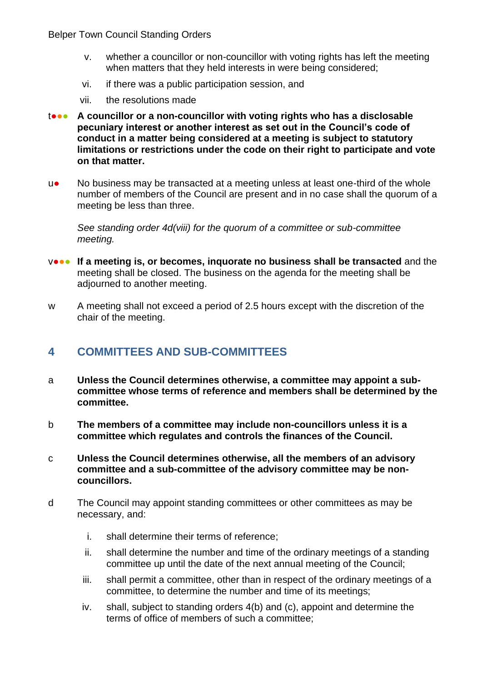- v. whether a councillor or non-councillor with voting rights has left the meeting when matters that they held interests in were being considered;
- vi. if there was a public participation session, and
- vii. the resolutions made
- t●●● **A councillor or a non-councillor with voting rights who has a disclosable pecuniary interest or another interest as set out in the Council's code of conduct in a matter being considered at a meeting is subject to statutory limitations or restrictions under the code on their right to participate and vote on that matter.**
- u● No business may be transacted at a meeting unless at least one-third of the whole number of members of the Council are present and in no case shall the quorum of a meeting be less than three.

*See standing order 4d(viii) for the quorum of a committee or sub-committee meeting.*

- v••• If a meeting is, or becomes, inquorate no business shall be transacted and the meeting shall be closed. The business on the agenda for the meeting shall be adjourned to another meeting.
- w A meeting shall not exceed a period of 2.5 hours except with the discretion of the chair of the meeting.

### <span id="page-7-0"></span>**4 COMMITTEES AND SUB-COMMITTEES**

- a **Unless the Council determines otherwise, a committee may appoint a subcommittee whose terms of reference and members shall be determined by the committee.**
- b **The members of a committee may include non-councillors unless it is a committee which regulates and controls the finances of the Council.**
- c **Unless the Council determines otherwise, all the members of an advisory committee and a sub-committee of the advisory committee may be noncouncillors.**
- d The Council may appoint standing committees or other committees as may be necessary, and:
	- i. shall determine their terms of reference;
	- ii. shall determine the number and time of the ordinary meetings of a standing committee up until the date of the next annual meeting of the Council;
	- iii. shall permit a committee, other than in respect of the ordinary meetings of a committee, to determine the number and time of its meetings;
	- iv. shall, subject to standing orders 4(b) and (c), appoint and determine the terms of office of members of such a committee;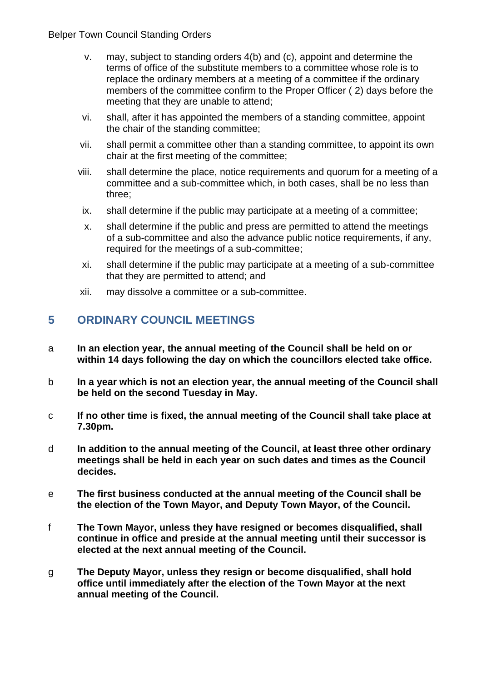- v. may, subject to standing orders 4(b) and (c), appoint and determine the terms of office of the substitute members to a committee whose role is to replace the ordinary members at a meeting of a committee if the ordinary members of the committee confirm to the Proper Officer ( 2) days before the meeting that they are unable to attend;
- vi. shall, after it has appointed the members of a standing committee, appoint the chair of the standing committee;
- vii. shall permit a committee other than a standing committee, to appoint its own chair at the first meeting of the committee;
- viii. shall determine the place, notice requirements and quorum for a meeting of a committee and a sub-committee which, in both cases, shall be no less than three;
- ix. shall determine if the public may participate at a meeting of a committee;
- x. shall determine if the public and press are permitted to attend the meetings of a sub-committee and also the advance public notice requirements, if any, required for the meetings of a sub-committee;
- xi. shall determine if the public may participate at a meeting of a sub-committee that they are permitted to attend; and
- xii. may dissolve a committee or a sub-committee.

# <span id="page-8-0"></span>**5 ORDINARY COUNCIL MEETINGS**

- a **In an election year, the annual meeting of the Council shall be held on or within 14 days following the day on which the councillors elected take office.**
- b **In a year which is not an election year, the annual meeting of the Council shall be held on the second Tuesday in May.**
- c **If no other time is fixed, the annual meeting of the Council shall take place at 7.30pm.**
- d **In addition to the annual meeting of the Council, at least three other ordinary meetings shall be held in each year on such dates and times as the Council decides.**
- e **The first business conducted at the annual meeting of the Council shall be the election of the Town Mayor, and Deputy Town Mayor, of the Council.**
- f **The Town Mayor, unless they have resigned or becomes disqualified, shall continue in office and preside at the annual meeting until their successor is elected at the next annual meeting of the Council.**
- g **The Deputy Mayor, unless they resign or become disqualified, shall hold office until immediately after the election of the Town Mayor at the next annual meeting of the Council.**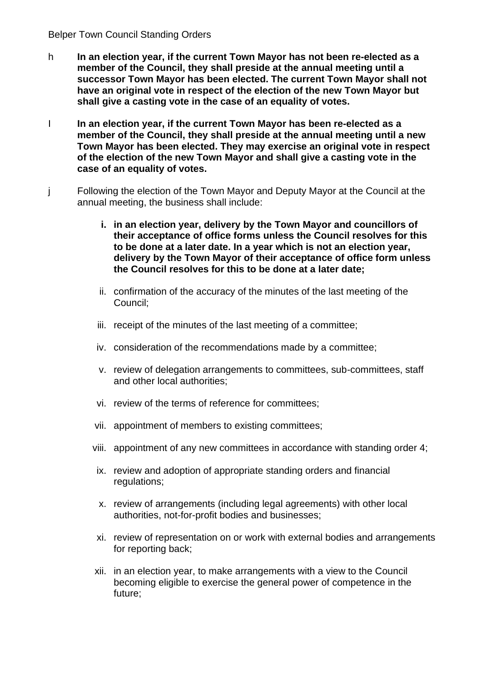- h **In an election year, if the current Town Mayor has not been re-elected as a member of the Council, they shall preside at the annual meeting until a successor Town Mayor has been elected. The current Town Mayor shall not have an original vote in respect of the election of the new Town Mayor but shall give a casting vote in the case of an equality of votes.**
- I **In an election year, if the current Town Mayor has been re-elected as a member of the Council, they shall preside at the annual meeting until a new Town Mayor has been elected. They may exercise an original vote in respect of the election of the new Town Mayor and shall give a casting vote in the case of an equality of votes.**
- j Following the election of the Town Mayor and Deputy Mayor at the Council at the annual meeting, the business shall include:
	- **i. in an election year, delivery by the Town Mayor and councillors of their acceptance of office forms unless the Council resolves for this to be done at a later date. In a year which is not an election year, delivery by the Town Mayor of their acceptance of office form unless the Council resolves for this to be done at a later date;**
	- ii. confirmation of the accuracy of the minutes of the last meeting of the Council;
	- iii. receipt of the minutes of the last meeting of a committee;
	- iv. consideration of the recommendations made by a committee;
	- v. review of delegation arrangements to committees, sub-committees, staff and other local authorities;
	- vi. review of the terms of reference for committees;
	- vii. appointment of members to existing committees;
	- viii. appointment of any new committees in accordance with standing order 4;
	- ix. review and adoption of appropriate standing orders and financial regulations;
	- x. review of arrangements (including legal agreements) with other local authorities, not-for-profit bodies and businesses;
	- xi. review of representation on or work with external bodies and arrangements for reporting back;
	- xii. in an election year, to make arrangements with a view to the Council becoming eligible to exercise the general power of competence in the future;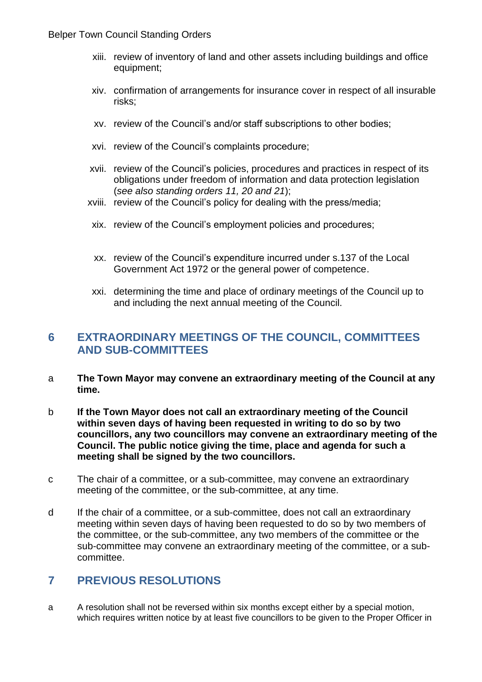- xiii. review of inventory of land and other assets including buildings and office equipment;
- xiv. confirmation of arrangements for insurance cover in respect of all insurable risks;
- xv. review of the Council's and/or staff subscriptions to other bodies;
- xvi. review of the Council's complaints procedure;
- xvii. review of the Council's policies, procedures and practices in respect of its obligations under freedom of information and data protection legislation (*see also standing orders 11, 20 and 21*);
- xviii. review of the Council's policy for dealing with the press/media;
- xix. review of the Council's employment policies and procedures;
- xx. review of the Council's expenditure incurred under s.137 of the Local Government Act 1972 or the general power of competence.
- xxi. determining the time and place of ordinary meetings of the Council up to and including the next annual meeting of the Council.

# <span id="page-10-0"></span>**6 EXTRAORDINARY MEETINGS OF THE COUNCIL, COMMITTEES AND SUB-COMMITTEES**

- a **The Town Mayor may convene an extraordinary meeting of the Council at any time.**
- b **If the Town Mayor does not call an extraordinary meeting of the Council within seven days of having been requested in writing to do so by two councillors, any two councillors may convene an extraordinary meeting of the Council. The public notice giving the time, place and agenda for such a meeting shall be signed by the two councillors.**
- c The chair of a committee, or a sub-committee, may convene an extraordinary meeting of the committee, or the sub-committee, at any time.
- d If the chair of a committee, or a sub-committee, does not call an extraordinary meeting within seven days of having been requested to do so by two members of the committee, or the sub-committee, any two members of the committee or the sub-committee may convene an extraordinary meeting of the committee, or a subcommittee.

# <span id="page-10-1"></span>**7 PREVIOUS RESOLUTIONS**

a A resolution shall not be reversed within six months except either by a special motion, which requires written notice by at least five councillors to be given to the Proper Officer in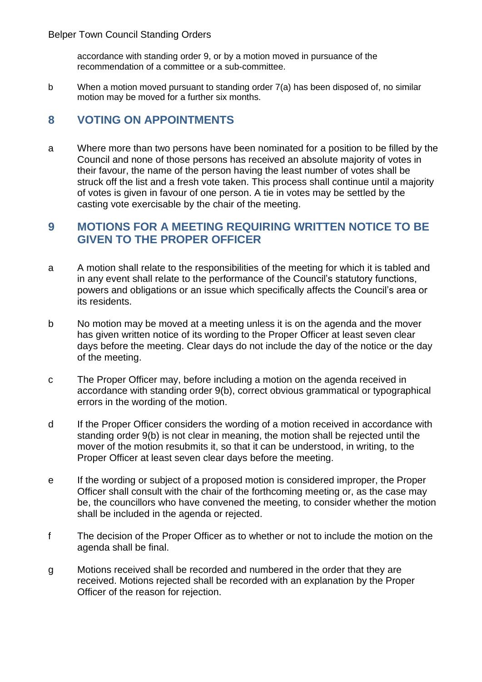accordance with standing order 9, or by a motion moved in pursuance of the recommendation of a committee or a sub-committee.

b When a motion moved pursuant to standing order 7(a) has been disposed of, no similar motion may be moved for a further six months.

# <span id="page-11-0"></span>**8 VOTING ON APPOINTMENTS**

a Where more than two persons have been nominated for a position to be filled by the Council and none of those persons has received an absolute majority of votes in their favour, the name of the person having the least number of votes shall be struck off the list and a fresh vote taken. This process shall continue until a majority of votes is given in favour of one person. A tie in votes may be settled by the casting vote exercisable by the chair of the meeting.

## <span id="page-11-1"></span>**9 MOTIONS FOR A MEETING REQUIRING WRITTEN NOTICE TO BE GIVEN TO THE PROPER OFFICER**

- a A motion shall relate to the responsibilities of the meeting for which it is tabled and in any event shall relate to the performance of the Council's statutory functions, powers and obligations or an issue which specifically affects the Council's area or its residents.
- b No motion may be moved at a meeting unless it is on the agenda and the mover has given written notice of its wording to the Proper Officer at least seven clear days before the meeting. Clear days do not include the day of the notice or the day of the meeting.
- c The Proper Officer may, before including a motion on the agenda received in accordance with standing order 9(b), correct obvious grammatical or typographical errors in the wording of the motion.
- d If the Proper Officer considers the wording of a motion received in accordance with standing order 9(b) is not clear in meaning, the motion shall be rejected until the mover of the motion resubmits it, so that it can be understood, in writing, to the Proper Officer at least seven clear days before the meeting.
- e If the wording or subject of a proposed motion is considered improper, the Proper Officer shall consult with the chair of the forthcoming meeting or, as the case may be, the councillors who have convened the meeting, to consider whether the motion shall be included in the agenda or rejected.
- f The decision of the Proper Officer as to whether or not to include the motion on the agenda shall be final.
- g Motions received shall be recorded and numbered in the order that they are received. Motions rejected shall be recorded with an explanation by the Proper Officer of the reason for rejection.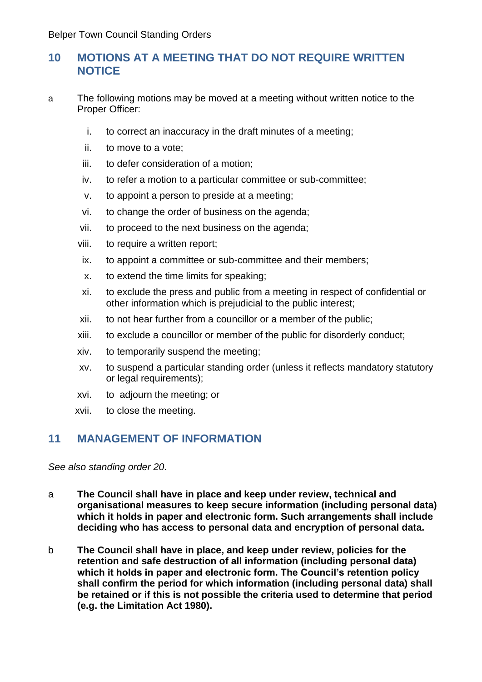# <span id="page-12-0"></span>**10 MOTIONS AT A MEETING THAT DO NOT REQUIRE WRITTEN NOTICE**

- a The following motions may be moved at a meeting without written notice to the Proper Officer:
	- i. to correct an inaccuracy in the draft minutes of a meeting;
	- ii. to move to a vote;
	- iii. to defer consideration of a motion;
	- iv. to refer a motion to a particular committee or sub-committee;
	- v. to appoint a person to preside at a meeting;
	- vi. to change the order of business on the agenda;
	- vii. to proceed to the next business on the agenda;
	- viii. to require a written report;
	- ix. to appoint a committee or sub-committee and their members;
	- x. to extend the time limits for speaking;
	- xi. to exclude the press and public from a meeting in respect of confidential or other information which is prejudicial to the public interest;
	- xii. to not hear further from a councillor or a member of the public;
	- xiii. to exclude a councillor or member of the public for disorderly conduct;
	- xiv. to temporarily suspend the meeting;
	- xv. to suspend a particular standing order (unless it reflects mandatory statutory or legal requirements);
	- xvi. to adjourn the meeting; or
	- xvii. to close the meeting.

# <span id="page-12-1"></span>**11 MANAGEMENT OF INFORMATION**

*See also standing order 20.*

- a **The Council shall have in place and keep under review, technical and organisational measures to keep secure information (including personal data) which it holds in paper and electronic form. Such arrangements shall include deciding who has access to personal data and encryption of personal data.**
- b **The Council shall have in place, and keep under review, policies for the retention and safe destruction of all information (including personal data) which it holds in paper and electronic form. The Council's retention policy shall confirm the period for which information (including personal data) shall be retained or if this is not possible the criteria used to determine that period (e.g. the Limitation Act 1980).**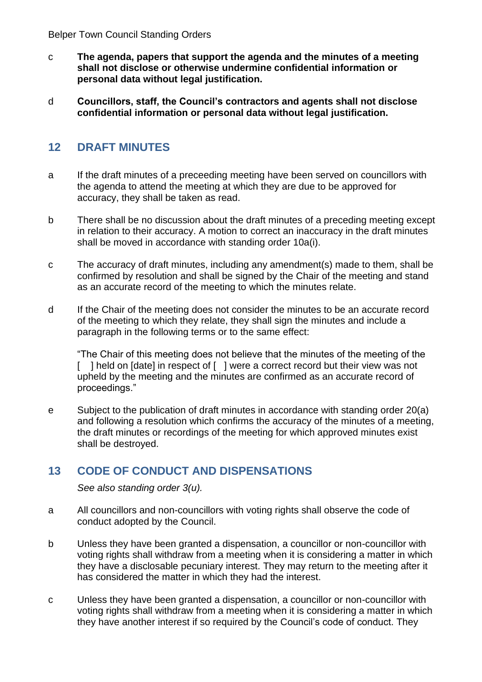- c **The agenda, papers that support the agenda and the minutes of a meeting shall not disclose or otherwise undermine confidential information or personal data without legal justification.**
- d **Councillors, staff, the Council's contractors and agents shall not disclose confidential information or personal data without legal justification.**

# <span id="page-13-0"></span>**12 DRAFT MINUTES**

- a If the draft minutes of a preceeding meeting have been served on councillors with the agenda to attend the meeting at which they are due to be approved for accuracy, they shall be taken as read.
- b There shall be no discussion about the draft minutes of a preceding meeting except in relation to their accuracy. A motion to correct an inaccuracy in the draft minutes shall be moved in accordance with standing order 10a(i).
- c The accuracy of draft minutes, including any amendment(s) made to them, shall be confirmed by resolution and shall be signed by the Chair of the meeting and stand as an accurate record of the meeting to which the minutes relate.
- d If the Chair of the meeting does not consider the minutes to be an accurate record of the meeting to which they relate, they shall sign the minutes and include a paragraph in the following terms or to the same effect:

"The Chair of this meeting does not believe that the minutes of the meeting of the [ ] held on [date] in respect of [ ] were a correct record but their view was not upheld by the meeting and the minutes are confirmed as an accurate record of proceedings."

e Subject to the publication of draft minutes in accordance with standing order 20(a) and following a resolution which confirms the accuracy of the minutes of a meeting, the draft minutes or recordings of the meeting for which approved minutes exist shall be destroyed.

# <span id="page-13-1"></span>**13 CODE OF CONDUCT AND DISPENSATIONS**

*See also standing order 3(u).*

- a All councillors and non-councillors with voting rights shall observe the code of conduct adopted by the Council.
- b Unless they have been granted a dispensation, a councillor or non-councillor with voting rights shall withdraw from a meeting when it is considering a matter in which they have a disclosable pecuniary interest. They may return to the meeting after it has considered the matter in which they had the interest.
- c Unless they have been granted a dispensation, a councillor or non-councillor with voting rights shall withdraw from a meeting when it is considering a matter in which they have another interest if so required by the Council's code of conduct. They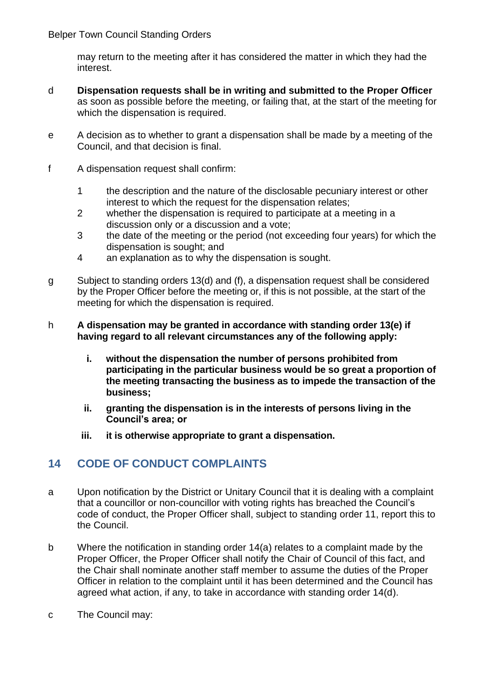may return to the meeting after it has considered the matter in which they had the interest.

- d **Dispensation requests shall be in writing and submitted to the Proper Officer** as soon as possible before the meeting, or failing that, at the start of the meeting for which the dispensation is required.
- e A decision as to whether to grant a dispensation shall be made by a meeting of the Council, and that decision is final.
- f A dispensation request shall confirm:
	- 1 the description and the nature of the disclosable pecuniary interest or other interest to which the request for the dispensation relates;
	- 2 whether the dispensation is required to participate at a meeting in a discussion only or a discussion and a vote;
	- 3 the date of the meeting or the period (not exceeding four years) for which the dispensation is sought; and
	- 4 an explanation as to why the dispensation is sought.
- g Subject to standing orders 13(d) and (f), a dispensation request shall be considered by the Proper Officer before the meeting or, if this is not possible, at the start of the meeting for which the dispensation is required.
- h **A dispensation may be granted in accordance with standing order 13(e) if having regard to all relevant circumstances any of the following apply:**
	- **i. without the dispensation the number of persons prohibited from participating in the particular business would be so great a proportion of the meeting transacting the business as to impede the transaction of the business;**
	- **ii. granting the dispensation is in the interests of persons living in the Council's area; or**
	- **iii. it is otherwise appropriate to grant a dispensation.**

# <span id="page-14-0"></span>**14 CODE OF CONDUCT COMPLAINTS**

- a Upon notification by the District or Unitary Council that it is dealing with a complaint that a councillor or non-councillor with voting rights has breached the Council's code of conduct, the Proper Officer shall, subject to standing order 11, report this to the Council.
- b Where the notification in standing order 14(a) relates to a complaint made by the Proper Officer, the Proper Officer shall notify the Chair of Council of this fact, and the Chair shall nominate another staff member to assume the duties of the Proper Officer in relation to the complaint until it has been determined and the Council has agreed what action, if any, to take in accordance with standing order 14(d).
- c The Council may: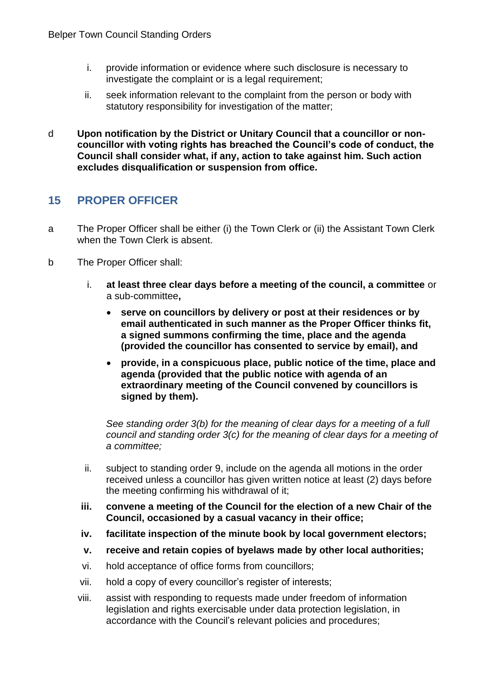- i. provide information or evidence where such disclosure is necessary to investigate the complaint or is a legal requirement;
- ii. seek information relevant to the complaint from the person or body with statutory responsibility for investigation of the matter;
- d **Upon notification by the District or Unitary Council that a councillor or noncouncillor with voting rights has breached the Council's code of conduct, the Council shall consider what, if any, action to take against him. Such action excludes disqualification or suspension from office.**

# <span id="page-15-0"></span>**15 PROPER OFFICER**

- a The Proper Officer shall be either (i) the Town Clerk or (ii) the Assistant Town Clerk when the Town Clerk is absent.
- b The Proper Officer shall:
	- i. **at least three clear days before a meeting of the council, a committee** or a sub-committee**,**
		- **serve on councillors by delivery or post at their residences or by email authenticated in such manner as the Proper Officer thinks fit, a signed summons confirming the time, place and the agenda (provided the councillor has consented to service by email), and**
		- **provide, in a conspicuous place, public notice of the time, place and agenda (provided that the public notice with agenda of an extraordinary meeting of the Council convened by councillors is signed by them).**

*See standing order 3(b) for the meaning of clear days for a meeting of a full council and standing order 3(c) for the meaning of clear days for a meeting of a committee;*

- ii. subject to standing order 9, include on the agenda all motions in the order received unless a councillor has given written notice at least (2) days before the meeting confirming his withdrawal of it;
- **iii. convene a meeting of the Council for the election of a new Chair of the Council, occasioned by a casual vacancy in their office;**
- **iv. facilitate inspection of the minute book by local government electors;**
- **v. receive and retain copies of byelaws made by other local authorities;**
- vi. hold acceptance of office forms from councillors;
- vii. hold a copy of every councillor's register of interests;
- viii. assist with responding to requests made under freedom of information legislation and rights exercisable under data protection legislation, in accordance with the Council's relevant policies and procedures;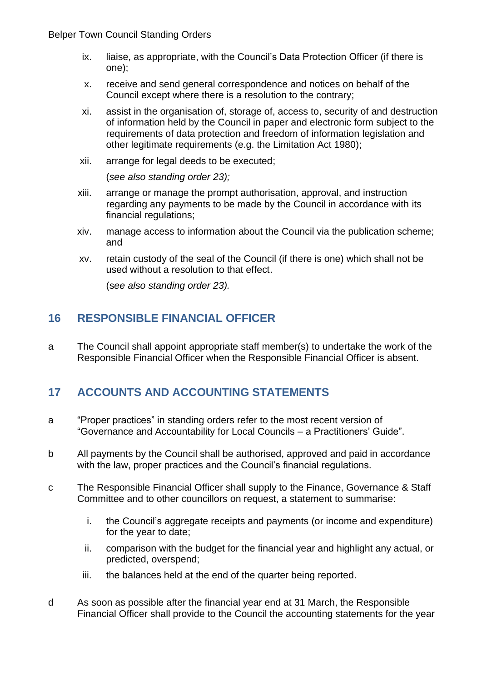- ix. liaise, as appropriate, with the Council's Data Protection Officer (if there is one);
- x. receive and send general correspondence and notices on behalf of the Council except where there is a resolution to the contrary;
- xi. assist in the organisation of, storage of, access to, security of and destruction of information held by the Council in paper and electronic form subject to the requirements of data protection and freedom of information legislation and other legitimate requirements (e.g. the Limitation Act 1980);
- xii. arrange for legal deeds to be executed;

(*see also standing order 23);*

- xiii. arrange or manage the prompt authorisation, approval, and instruction regarding any payments to be made by the Council in accordance with its financial regulations;
- xiv. manage access to information about the Council via the publication scheme; and
- xv. retain custody of the seal of the Council (if there is one) which shall not be used without a resolution to that effect.

(s*ee also standing order 23).*

# <span id="page-16-0"></span>**16 RESPONSIBLE FINANCIAL OFFICER**

a The Council shall appoint appropriate staff member(s) to undertake the work of the Responsible Financial Officer when the Responsible Financial Officer is absent.

# <span id="page-16-1"></span>**17 ACCOUNTS AND ACCOUNTING STATEMENTS**

- a "Proper practices" in standing orders refer to the most recent version of "Governance and Accountability for Local Councils – a Practitioners' Guide".
- b All payments by the Council shall be authorised, approved and paid in accordance with the law, proper practices and the Council's financial regulations.
- c The Responsible Financial Officer shall supply to the Finance, Governance & Staff Committee and to other councillors on request, a statement to summarise:
	- i. the Council's aggregate receipts and payments (or income and expenditure) for the year to date;
	- ii. comparison with the budget for the financial year and highlight any actual, or predicted, overspend;
	- iii. the balances held at the end of the quarter being reported.
- d As soon as possible after the financial year end at 31 March, the Responsible Financial Officer shall provide to the Council the accounting statements for the year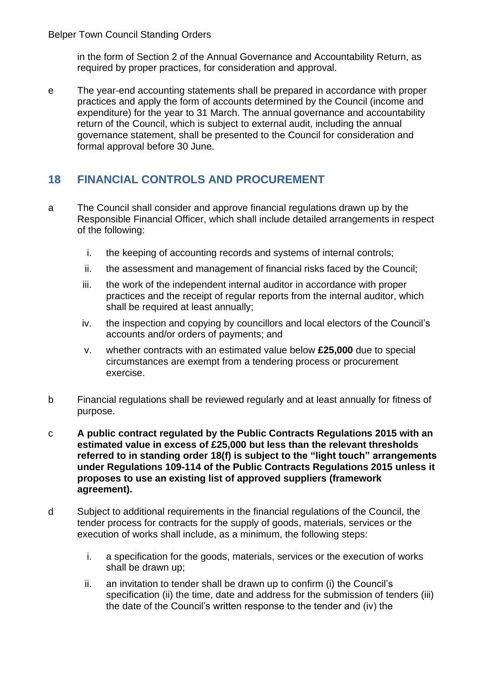in the form of Section 2 of the Annual Governance and Accountability Return, as required by proper practices, for consideration and approval.

e The year-end accounting statements shall be prepared in accordance with proper practices and apply the form of accounts determined by the Council (income and expenditure) for the year to 31 March. The annual governance and accountability return of the Council, which is subject to external audit, including the annual governance statement, shall be presented to the Council for consideration and formal approval before 30 June.

# <span id="page-17-0"></span>**18 FINANCIAL CONTROLS AND PROCUREMENT**

- a The Council shall consider and approve financial regulations drawn up by the Responsible Financial Officer, which shall include detailed arrangements in respect of the following:
	- i. the keeping of accounting records and systems of internal controls;
	- ii. the assessment and management of financial risks faced by the Council;
	- iii. the work of the independent internal auditor in accordance with proper practices and the receipt of regular reports from the internal auditor, which shall be required at least annually;
	- iv. the inspection and copying by councillors and local electors of the Council's accounts and/or orders of payments; and
	- v. whether contracts with an estimated value below **£25,000** due to special circumstances are exempt from a tendering process or procurement exercise.
- b Financial regulations shall be reviewed regularly and at least annually for fitness of purpose.
- c **A public contract regulated by the Public Contracts Regulations 2015 with an estimated value in excess of £25,000 but less than the relevant thresholds referred to in standing order 18(f) is subject to the "light touch" arrangements under Regulations 109-114 of the Public Contracts Regulations 2015 unless it proposes to use an existing list of approved suppliers (framework agreement).**
- d Subject to additional requirements in the financial regulations of the Council, the tender process for contracts for the supply of goods, materials, services or the execution of works shall include, as a minimum, the following steps:
	- i. a specification for the goods, materials, services or the execution of works shall be drawn up;
	- ii. an invitation to tender shall be drawn up to confirm (i) the Council's specification (ii) the time, date and address for the submission of tenders (iii) the date of the Council's written response to the tender and (iv) the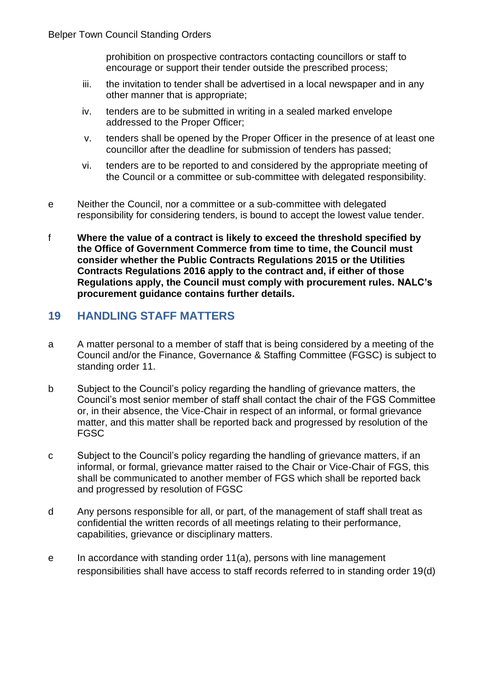prohibition on prospective contractors contacting councillors or staff to encourage or support their tender outside the prescribed process;

- iii. the invitation to tender shall be advertised in a local newspaper and in any other manner that is appropriate;
- iv. tenders are to be submitted in writing in a sealed marked envelope addressed to the Proper Officer;
- v. tenders shall be opened by the Proper Officer in the presence of at least one councillor after the deadline for submission of tenders has passed;
- vi. tenders are to be reported to and considered by the appropriate meeting of the Council or a committee or sub-committee with delegated responsibility.
- e Neither the Council, nor a committee or a sub-committee with delegated responsibility for considering tenders, is bound to accept the lowest value tender.
- f **Where the value of a contract is likely to exceed the threshold specified by the Office of Government Commerce from time to time, the Council must consider whether the Public Contracts Regulations 2015 or the Utilities Contracts Regulations 2016 apply to the contract and, if either of those Regulations apply, the Council must comply with procurement rules. NALC's procurement guidance contains further details.**

# <span id="page-18-0"></span>**19 HANDLING STAFF MATTERS**

- a A matter personal to a member of staff that is being considered by a meeting of the Council and/or the Finance, Governance & Staffing Committee (FGSC) is subject to standing order 11.
- b Subject to the Council's policy regarding the handling of grievance matters, the Council's most senior member of staff shall contact the chair of the FGS Committee or, in their absence, the Vice-Chair in respect of an informal, or formal grievance matter, and this matter shall be reported back and progressed by resolution of the FGSC
- c Subject to the Council's policy regarding the handling of grievance matters, if an informal, or formal, grievance matter raised to the Chair or Vice-Chair of FGS, this shall be communicated to another member of FGS which shall be reported back and progressed by resolution of FGSC
- d Any persons responsible for all, or part, of the management of staff shall treat as confidential the written records of all meetings relating to their performance, capabilities, grievance or disciplinary matters.
- e In accordance with standing order 11(a), persons with line management responsibilities shall have access to staff records referred to in standing order 19(d)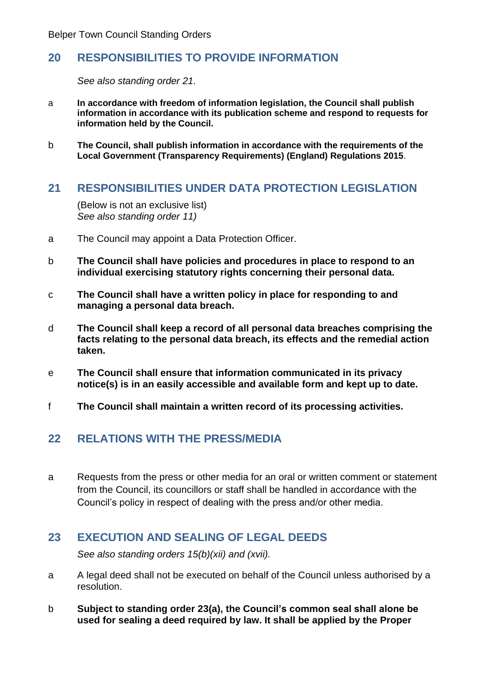# <span id="page-19-0"></span>**20 RESPONSIBILITIES TO PROVIDE INFORMATION**

*See also standing order 21.*

- a **In accordance with freedom of information legislation, the Council shall publish information in accordance with its publication scheme and respond to requests for information held by the Council.**
- b **The Council, shall publish information in accordance with the requirements of the Local Government (Transparency Requirements) (England) Regulations 2015**.

#### <span id="page-19-1"></span>**21 RESPONSIBILITIES UNDER DATA PROTECTION LEGISLATION**

(Below is not an exclusive list) *See also standing order 11)*

- a The Council may appoint a Data Protection Officer.
- b **The Council shall have policies and procedures in place to respond to an individual exercising statutory rights concerning their personal data.**
- c **The Council shall have a written policy in place for responding to and managing a personal data breach.**
- d **The Council shall keep a record of all personal data breaches comprising the facts relating to the personal data breach, its effects and the remedial action taken.**
- e **The Council shall ensure that information communicated in its privacy notice(s) is in an easily accessible and available form and kept up to date.**
- f **The Council shall maintain a written record of its processing activities.**

# <span id="page-19-2"></span>**22 RELATIONS WITH THE PRESS/MEDIA**

a Requests from the press or other media for an oral or written comment or statement from the Council, its councillors or staff shall be handled in accordance with the Council's policy in respect of dealing with the press and/or other media.

# <span id="page-19-3"></span>**23 EXECUTION AND SEALING OF LEGAL DEEDS**

*See also standing orders 15(b)(xii) and (xvii).*

- a A legal deed shall not be executed on behalf of the Council unless authorised by a resolution.
- b **Subject to standing order 23(a), the Council's common seal shall alone be used for sealing a deed required by law. It shall be applied by the Proper**